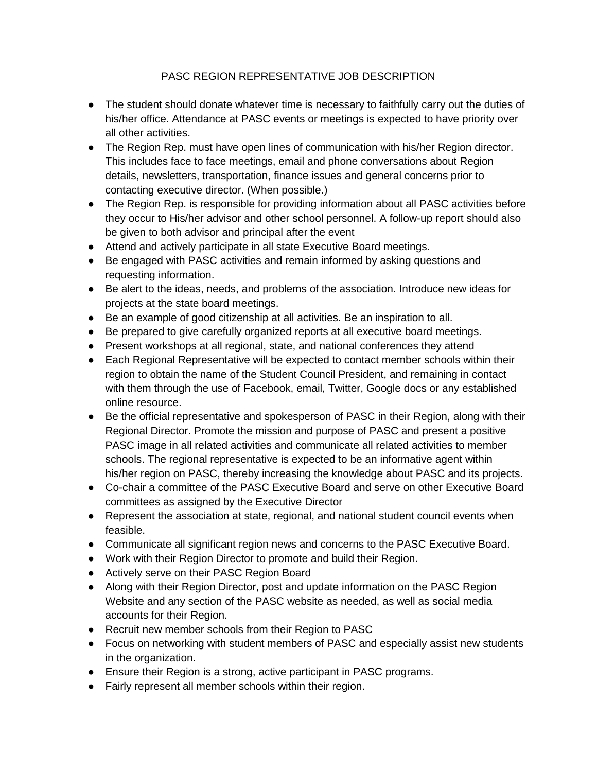## PASC REGION REPRESENTATIVE JOB DESCRIPTION

- The student should donate whatever time is necessary to faithfully carry out the duties of his/her office. Attendance at PASC events or meetings is expected to have priority over all other activities.
- The Region Rep. must have open lines of communication with his/her Region director. This includes face to face meetings, email and phone conversations about Region details, newsletters, transportation, finance issues and general concerns prior to contacting executive director. (When possible.)
- The Region Rep. is responsible for providing information about all PASC activities before they occur to His/her advisor and other school personnel. A follow-up report should also be given to both advisor and principal after the event
- Attend and actively participate in all state Executive Board meetings.
- Be engaged with PASC activities and remain informed by asking questions and requesting information.
- Be alert to the ideas, needs, and problems of the association. Introduce new ideas for projects at the state board meetings.
- Be an example of good citizenship at all activities. Be an inspiration to all.
- Be prepared to give carefully organized reports at all executive board meetings.
- Present workshops at all regional, state, and national conferences they attend
- Each Regional Representative will be expected to contact member schools within their region to obtain the name of the Student Council President, and remaining in contact with them through the use of Facebook, email, Twitter, Google docs or any established online resource.
- Be the official representative and spokesperson of PASC in their Region, along with their Regional Director. Promote the mission and purpose of PASC and present a positive PASC image in all related activities and communicate all related activities to member schools. The regional representative is expected to be an informative agent within his/her region on PASC, thereby increasing the knowledge about PASC and its projects.
- Co-chair a committee of the PASC Executive Board and serve on other Executive Board committees as assigned by the Executive Director
- Represent the association at state, regional, and national student council events when feasible.
- Communicate all significant region news and concerns to the PASC Executive Board.
- Work with their Region Director to promote and build their Region.
- Actively serve on their PASC Region Board
- Along with their Region Director, post and update information on the PASC Region Website and any section of the PASC website as needed, as well as social media accounts for their Region.
- Recruit new member schools from their Region to PASC
- Focus on networking with student members of PASC and especially assist new students in the organization.
- Ensure their Region is a strong, active participant in PASC programs.
- Fairly represent all member schools within their region.